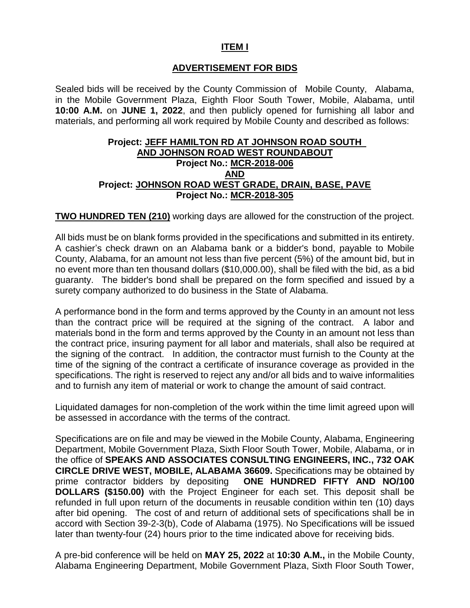## **ITEM I**

## **ADVERTISEMENT FOR BIDS**

Sealed bids will be received by the County Commission of Mobile County, Alabama, in the Mobile Government Plaza, Eighth Floor South Tower, Mobile, Alabama, until **10:00 A.M.** on **JUNE 1, 2022**, and then publicly opened for furnishing all labor and materials, and performing all work required by Mobile County and described as follows:

#### **Project: JEFF HAMILTON RD AT JOHNSON ROAD SOUTH AND JOHNSON ROAD WEST ROUNDABOUT Project No.: MCR-2018-006 AND Project: JOHNSON ROAD WEST GRADE, DRAIN, BASE, PAVE Project No.: MCR-2018-305**

**TWO HUNDRED TEN (210)** working days are allowed for the construction of the project.

All bids must be on blank forms provided in the specifications and submitted in its entirety. A cashier's check drawn on an Alabama bank or a bidder's bond, payable to Mobile County, Alabama, for an amount not less than five percent (5%) of the amount bid, but in no event more than ten thousand dollars (\$10,000.00), shall be filed with the bid, as a bid guaranty. The bidder's bond shall be prepared on the form specified and issued by a surety company authorized to do business in the State of Alabama.

A performance bond in the form and terms approved by the County in an amount not less than the contract price will be required at the signing of the contract. A labor and materials bond in the form and terms approved by the County in an amount not less than the contract price, insuring payment for all labor and materials, shall also be required at the signing of the contract. In addition, the contractor must furnish to the County at the time of the signing of the contract a certificate of insurance coverage as provided in the specifications. The right is reserved to reject any and/or all bids and to waive informalities and to furnish any item of material or work to change the amount of said contract.

Liquidated damages for non-completion of the work within the time limit agreed upon will be assessed in accordance with the terms of the contract.

Specifications are on file and may be viewed in the Mobile County, Alabama, Engineering Department, Mobile Government Plaza, Sixth Floor South Tower, Mobile, Alabama, or in the office of **SPEAKS AND ASSOCIATES CONSULTING ENGINEERS, INC., 732 OAK CIRCLE DRIVE WEST, MOBILE, ALABAMA 36609.** Specifications may be obtained by prime contractor bidders by depositing **ONE HUNDRED FIFTY AND NO/100 DOLLARS (\$150.00)** with the Project Engineer for each set. This deposit shall be refunded in full upon return of the documents in reusable condition within ten (10) days after bid opening. The cost of and return of additional sets of specifications shall be in accord with Section 39-2-3(b), Code of Alabama (1975). No Specifications will be issued later than twenty-four (24) hours prior to the time indicated above for receiving bids.

A pre-bid conference will be held on **MAY 25, 2022** at **10:30 A.M.,** in the Mobile County, Alabama Engineering Department, Mobile Government Plaza, Sixth Floor South Tower,